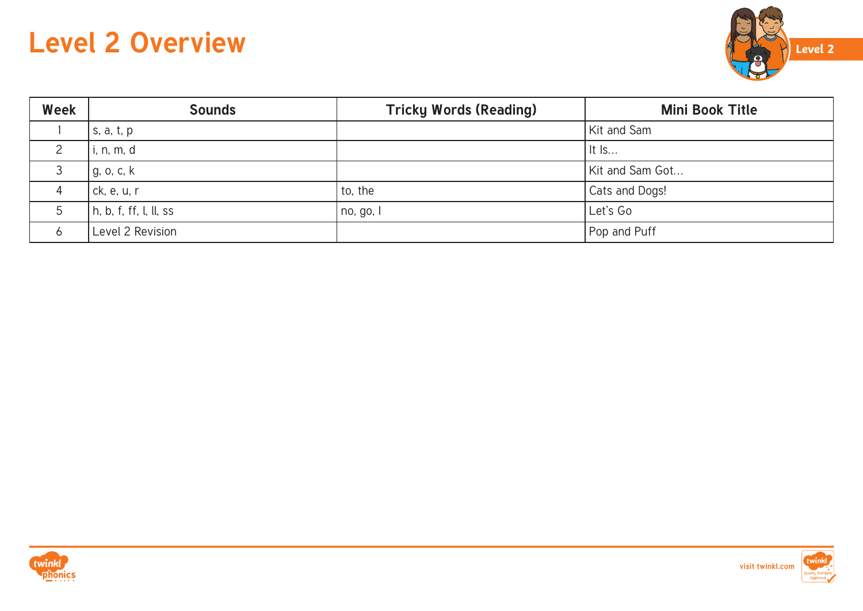

| Week | <b>Sounds</b>                  | <b>Tricky Words (Reading)</b> | <b>Mini Book Title</b> |
|------|--------------------------------|-------------------------------|------------------------|
|      | s, a, t, p                     |                               | Kit and Sam            |
|      | i, n, m, d                     |                               | $ $ It Is              |
|      | g, o, c, k                     |                               | Kit and Sam Got        |
|      | ck, e, u, r                    | to, the                       | Cats and Dogs!         |
|      | $\vert$ h, b, f, ff, l, ll, ss | no, go, l                     | Let's Go               |
|      | Level 2 Revision               |                               | Pop and Puff           |



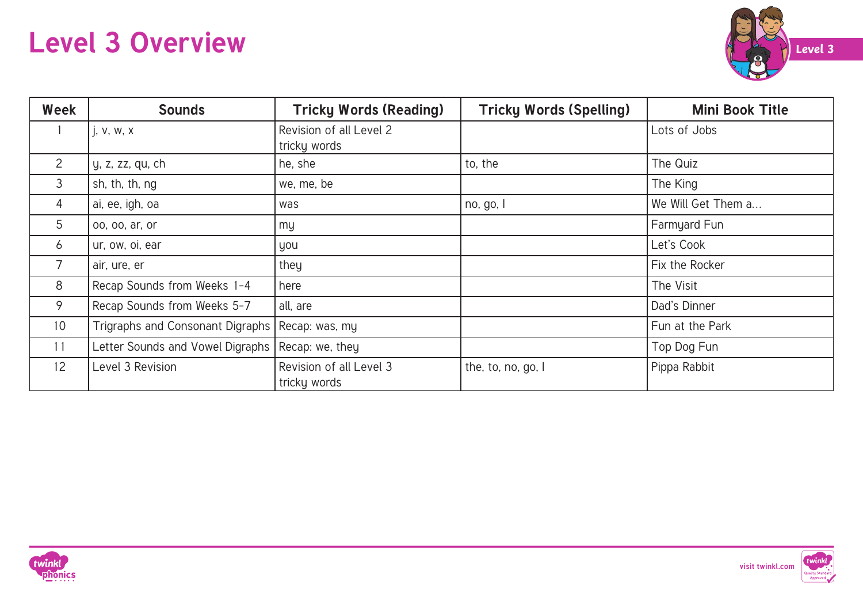

| Week            | <b>Sounds</b>                                    | <b>Tricky Words (Reading)</b>           | <b>Tricky Words (Spelling)</b> | <b>Mini Book Title</b> |
|-----------------|--------------------------------------------------|-----------------------------------------|--------------------------------|------------------------|
|                 | i, v, w, x                                       | Revision of all Level 2<br>tricky words |                                | Lots of Jobs           |
| 2               | y, z, zz, qu, ch                                 | he, she                                 | to, the                        | The Quiz               |
| 3               | sh, th, th, ng                                   | we, me, be                              |                                | The King               |
| 4               | ai, ee, igh, oa                                  | was                                     | no, go, l                      | We Will Get Them a     |
| 5               | 00, 00, ar, or                                   | my                                      |                                | Farmyard Fun           |
| 6               | ur, ow, oi, ear                                  | you                                     |                                | Let's Cook             |
| 7               | air, ure, er                                     | they                                    |                                | Fix the Rocker         |
| 8               | Recap Sounds from Weeks 1-4                      | here                                    |                                | The Visit              |
| 9               | Recap Sounds from Weeks 5-7                      | all, are                                |                                | Dad's Dinner           |
| 10 <sup>°</sup> | Trigraphs and Consonant Digraphs                 | Recap: was, my                          |                                | Fun at the Park        |
| 11              | Letter Sounds and Vowel Digraphs Recap: we, they |                                         |                                | Top Dog Fun            |
| 12              | Level 3 Revision                                 | Revision of all Level 3<br>tricky words | the, to, no, go, I             | Pippa Rabbit           |



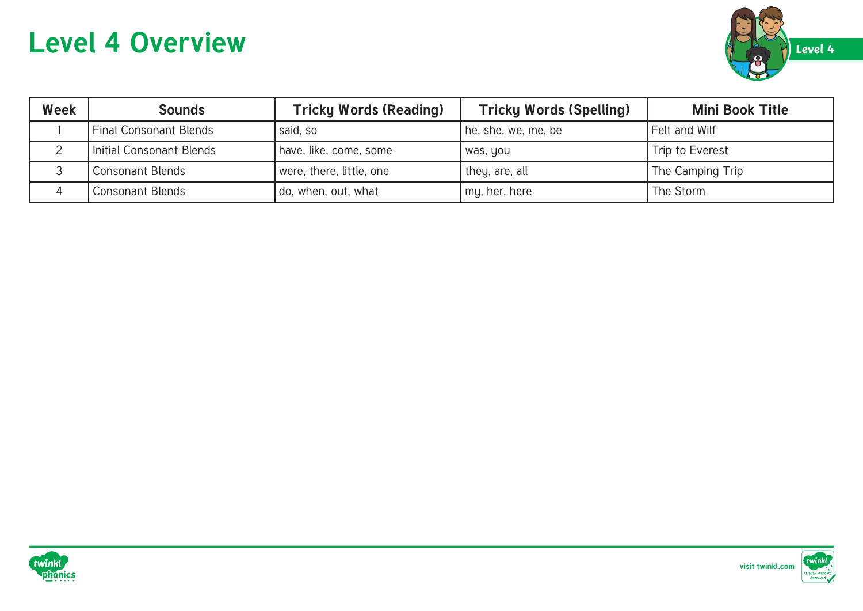

| Week | <b>Sounds</b>                 | <b>Tricky Words (Reading)</b> | <b>Tricky Words (Spelling)</b> | <b>Mini Book Title</b> |
|------|-------------------------------|-------------------------------|--------------------------------|------------------------|
|      | <b>Final Consonant Blends</b> | said, so                      | he, she, we, me, be            | Felt and Wilf          |
|      | Initial Consonant Blends      | have, like, come, some        | was, you                       | Trip to Everest        |
|      | <b>Consonant Blends</b>       | were, there, little, one      | they, are, all                 | The Camping Trip       |
|      | 'Consonant Blends             | do, when, out, what           | my, her, here                  | The Storm              |



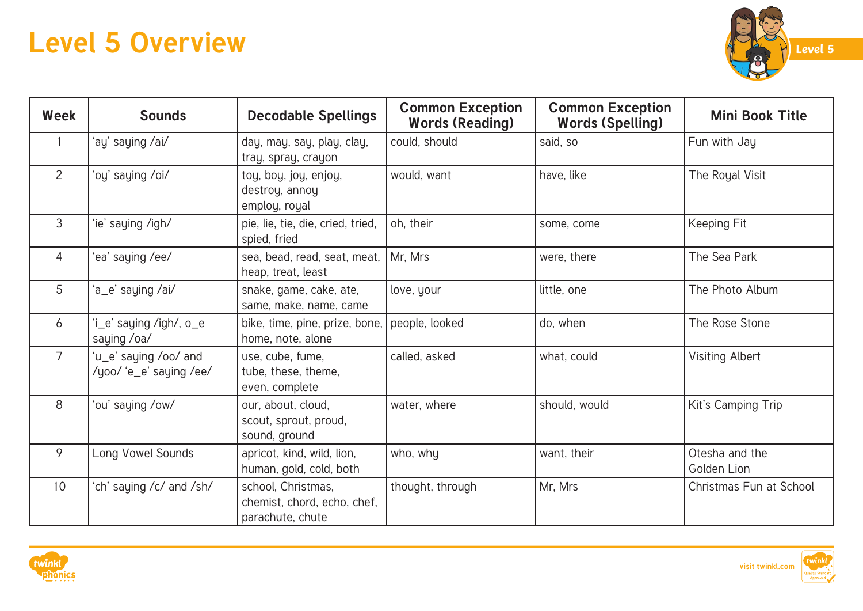

| Week           | <b>Sounds</b>                                    | <b>Decodable Spellings</b>                                            | <b>Common Exception</b><br><b>Words (Reading)</b> | <b>Common Exception</b><br><b>Words (Spelling)</b> | <b>Mini Book Title</b>        |
|----------------|--------------------------------------------------|-----------------------------------------------------------------------|---------------------------------------------------|----------------------------------------------------|-------------------------------|
|                | 'ay' saying /ai/                                 | day, may, say, play, clay,<br>tray, spray, crayon                     | could, should                                     | said, so                                           | Fun with Jay                  |
| $\overline{2}$ | 'oy' saying /oi/                                 | toy, boy, joy, enjoy,<br>destroy, annoy<br>employ, royal              | would, want                                       | have, like                                         | The Royal Visit               |
| $\mathfrak{Z}$ | 'ie' saying /igh/                                | pie, lie, tie, die, cried, tried,<br>spied, fried                     | oh, their                                         | some, come                                         | Keeping Fit                   |
| $\overline{4}$ | 'ea' saying /ee/                                 | sea, bead, read, seat, meat,<br>heap, treat, least                    | Mr, Mrs                                           | were, there                                        | The Sea Park                  |
| 5              | 'a_e' saying /ai/                                | snake, game, cake, ate,<br>same, make, name, came                     | love, your                                        | little, one                                        | The Photo Album               |
| 6              | 'i_e' saying /igh/, o_e<br>saying /oa/           | bike, time, pine, prize, bone,<br>home, note, alone                   | people, looked                                    | do, when                                           | The Rose Stone                |
| $\overline{7}$ | 'u_e' saying /oo/ and<br>/yoo/ 'e_e' saying /ee/ | use, cube, fume,<br>tube, these, theme,<br>even, complete             | called, asked                                     | what, could                                        | <b>Visiting Albert</b>        |
| 8              | 'ou' saying /ow/                                 | our, about, cloud,<br>scout, sprout, proud,<br>sound, ground          | water, where                                      | should, would                                      | Kit's Camping Trip            |
| 9              | Long Vowel Sounds                                | apricot, kind, wild, lion,<br>human, gold, cold, both                 | who, why                                          | want, their                                        | Otesha and the<br>Golden Lion |
| 10             | 'ch' saying /c/ and /sh/                         | school, Christmas,<br>chemist, chord, echo, chef,<br>parachute, chute | thought, through                                  | Mr, Mrs                                            | Christmas Fun at School       |



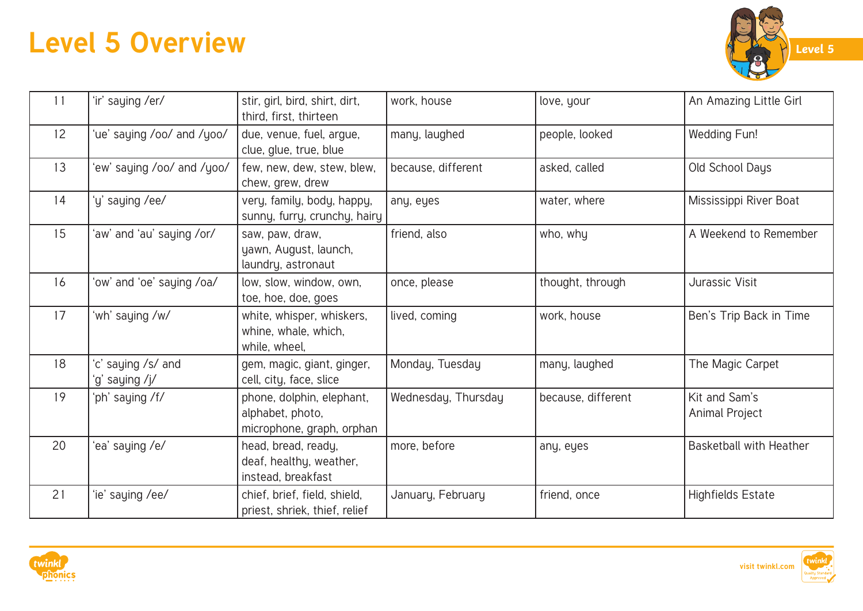

| 11              | 'ir' saying /er/                    | stir, girl, bird, shirt, dirt,<br>third, first, thirteen                   | work, house         | love, your         | An Amazing Little Girl          |
|-----------------|-------------------------------------|----------------------------------------------------------------------------|---------------------|--------------------|---------------------------------|
| 12 <sup>°</sup> | 'ue' saying /oo/ and /yoo/          | due, venue, fuel, argue,<br>clue, glue, true, blue                         | many, laughed       | people, looked     | Wedding Fun!                    |
| 13              | 'ew' saying /oo/ and /yoo/          | few, new, dew, stew, blew,<br>chew, grew, drew                             | because, different  | asked, called      | Old School Days                 |
| 14              | 'y' saying /ee/                     | very, family, body, happy,<br>sunny, furry, crunchy, hairy                 | any, eyes           | water, where       | Mississippi River Boat          |
| 15              | 'aw' and 'au' saying /or/           | saw, paw, draw,<br>yawn, August, launch,<br>laundry, astronaut             | friend, also        | who, why           | A Weekend to Remember           |
| 16              | 'ow' and 'oe' saying /oa/           | low, slow, window, own,<br>toe, hoe, doe, goes                             | once, please        | thought, through   | Jurassic Visit                  |
| 17              | 'wh' saying /w/                     | white, whisper, whiskers,<br>whine, whale, which,<br>while, wheel,         | lived, coming       | work, house        | Ben's Trip Back in Time         |
| 18              | c' saying /s/ and<br>'g' saying /j/ | gem, magic, giant, ginger,<br>cell, city, face, slice                      | Monday, Tuesday     | many, laughed      | The Magic Carpet                |
| 19              | 'ph' saying /f/                     | phone, dolphin, elephant,<br>alphabet, photo,<br>microphone, graph, orphan | Wednesday, Thursday | because, different | Kit and Sam's<br>Animal Project |
| 20              | ea' saying /e/                      | head, bread, ready,<br>deaf, healthy, weather,<br>instead, breakfast       | more, before        | any, eyes          | <b>Basketball with Heather</b>  |
| 21              | 'ie' saying /ee/                    | chief, brief, field, shield,<br>priest, shriek, thief, relief              | January, February   | friend, once       | <b>Highfields Estate</b>        |



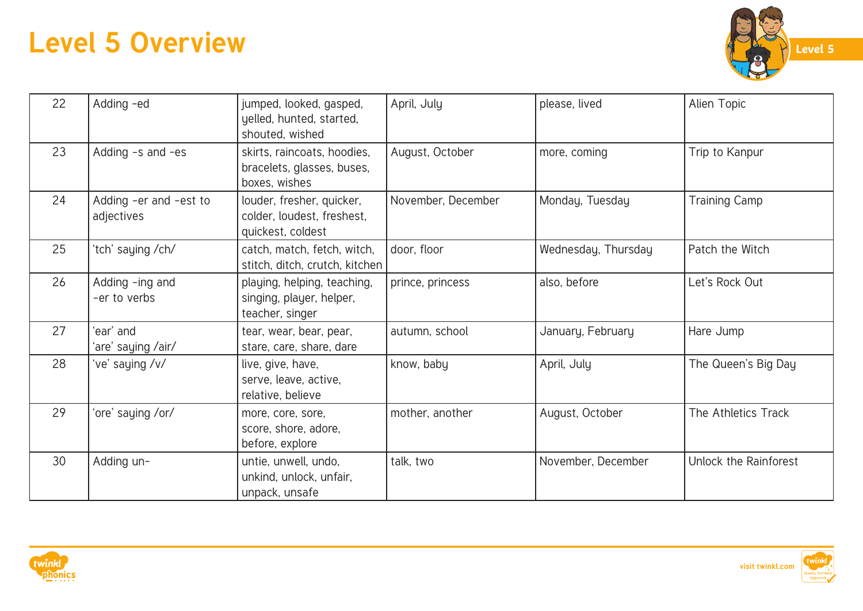

| 22 | Adding -ed                           | jumped, looked, gasped,<br>yelled, hunted, started,<br>shouted, wished       | April, July        | please, lived       | Alien Topic           |
|----|--------------------------------------|------------------------------------------------------------------------------|--------------------|---------------------|-----------------------|
| 23 | Adding -s and -es                    | skirts, raincoats, hoodies,<br>bracelets, glasses, buses,<br>boxes, wishes   | August, October    | more, coming        | Trip to Kanpur        |
| 24 | Adding -er and -est to<br>adjectives | louder, fresher, quicker,<br>colder, loudest, freshest,<br>quickest, coldest | November, December | Monday, Tuesday     | <b>Training Camp</b>  |
| 25 | 'tch' saying /ch/                    | catch, match, fetch, witch,<br>stitch, ditch, crutch, kitchen                | door, floor        | Wednesday, Thursday | Patch the Witch       |
| 26 | Adding -ing and<br>-er to verbs      | playing, helping, teaching,<br>singing, player, helper,<br>teacher, singer   | prince, princess   | also, before        | Let's Rock Out        |
| 27 | 'ear' and<br>'are' saying /air/      | tear, wear, bear, pear,<br>stare, care, share, dare                          | autumn, school     | January, February   | Hare Jump             |
| 28 | ve' saying /v/                       | live, give, have,<br>serve, leave, active,<br>relative, believe              | know, baby         | April, July         | The Queen's Big Day   |
| 29 | 'ore' saying /or/                    | more, core, sore,<br>score, shore, adore,<br>before, explore                 | mother, another    | August, October     | The Athletics Track   |
| 30 | Adding un-                           | untie, unwell, undo,<br>unkind, unlock, unfair,<br>unpack, unsafe            | talk, two          | November, December  | Unlock the Rainforest |



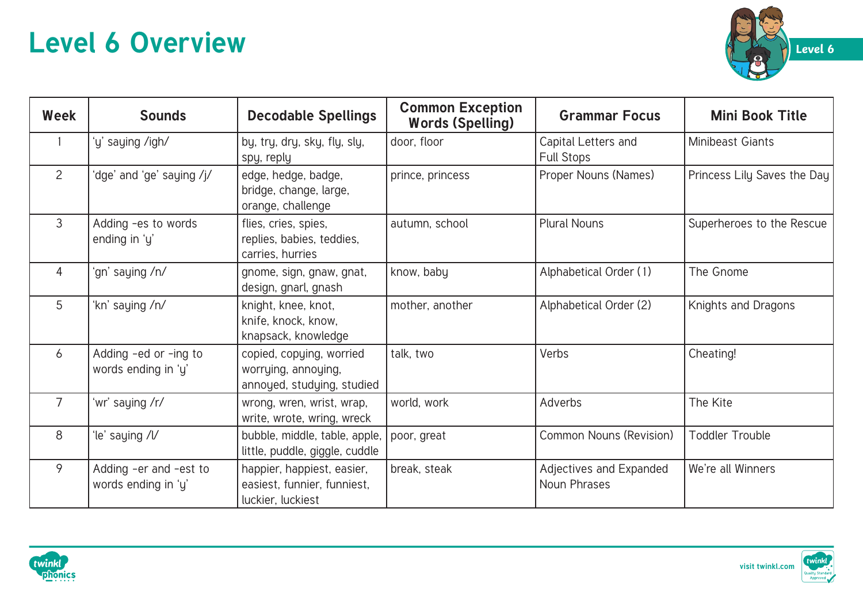

| Week           | <b>Sounds</b>                                 | <b>Decodable Spellings</b>                                                     | <b>Common Exception</b><br><b>Words (Spelling)</b> | <b>Grammar Focus</b>                           | <b>Mini Book Title</b>      |
|----------------|-----------------------------------------------|--------------------------------------------------------------------------------|----------------------------------------------------|------------------------------------------------|-----------------------------|
|                | 'y' saying /igh/                              | by, try, dry, sky, fly, sly,<br>spy, reply                                     | door, floor                                        | Capital Letters and<br><b>Full Stops</b>       | Minibeast Giants            |
| $\overline{2}$ | 'dge' and 'ge' saying /j/                     | edge, hedge, badge,<br>bridge, change, large,<br>orange, challenge             | prince, princess                                   | Proper Nouns (Names)                           | Princess Lily Saves the Day |
| $\mathfrak{Z}$ | Adding -es to words<br>ending in 'y'          | flies, cries, spies,<br>replies, babies, teddies,<br>carries, hurries          | autumn, school                                     | <b>Plural Nouns</b>                            | Superheroes to the Rescue   |
| 4              | 'gn' saying /n/                               | gnome, sign, gnaw, gnat,<br>design, gnarl, gnash                               | know, baby                                         | Alphabetical Order (1)                         | The Gnome                   |
| 5              | 'kn' saying /n/                               | knight, knee, knot,<br>knife, knock, know,<br>knapsack, knowledge              | mother, another                                    | Alphabetical Order (2)                         | Knights and Dragons         |
| 6              | Adding -ed or -ing to<br>words ending in 'y'  | copied, copying, worried<br>worrying, annoying,<br>annoyed, studying, studied  | talk, two                                          | Verbs                                          | Cheating!                   |
| $\overline{7}$ | 'wr' saying /r/                               | wrong, wren, wrist, wrap,<br>write, wrote, wring, wreck                        | world, work                                        | Adverbs                                        | The Kite                    |
| 8              | le' saying /V                                 | bubble, middle, table, apple,<br>little, puddle, giggle, cuddle                | poor, great                                        | <b>Common Nouns (Revision)</b>                 | <b>Toddler Trouble</b>      |
| 9              | Adding -er and -est to<br>words ending in 'y' | happier, happiest, easier,<br>easiest, funnier, funniest,<br>luckier, luckiest | break, steak                                       | Adjectives and Expanded<br><b>Noun Phrases</b> | We're all Winners           |



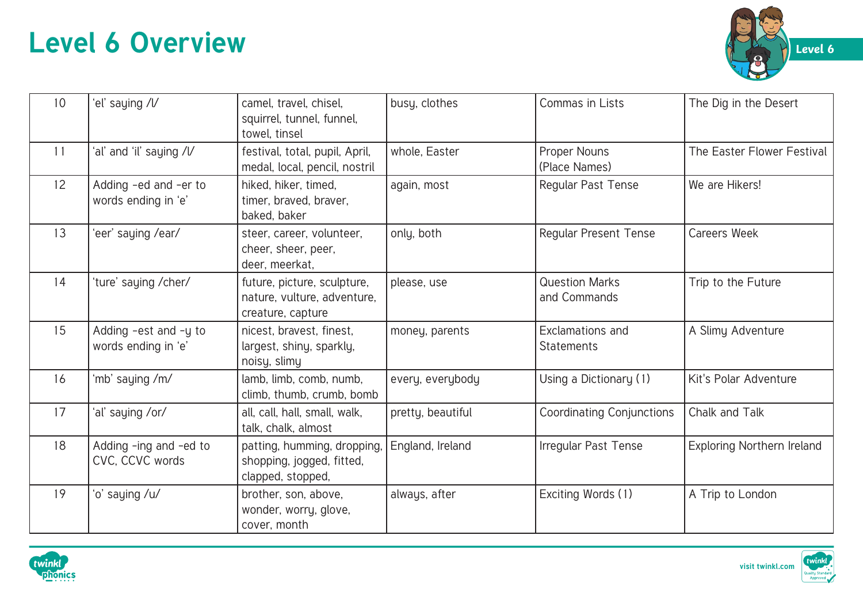

| 10 <sup>1</sup> | 'el' saying /l/                              | camel, travel, chisel,<br>squirrel, tunnel, funnel,<br>towel, tinsel            | busy, clothes     | Commas in Lists                       | The Dig in the Desert      |
|-----------------|----------------------------------------------|---------------------------------------------------------------------------------|-------------------|---------------------------------------|----------------------------|
| 11              | 'al' and 'il' saying /l/                     | festival, total, pupil, April,<br>medal, local, pencil, nostril                 | whole, Easter     | Proper Nouns<br>(Place Names)         | The Easter Flower Festival |
| 12 <sup>°</sup> | Adding -ed and -er to<br>words ending in 'e' | hiked, hiker, timed,<br>timer, braved, braver,<br>baked, baker                  | again, most       | Regular Past Tense                    | We are Hikers!             |
| 13              | 'eer' saying /ear/                           | steer, career, volunteer,<br>cheer, sheer, peer,<br>deer, meerkat,              | only, both        | <b>Regular Present Tense</b>          | <b>Careers Week</b>        |
| 14              | 'ture' saying /cher/                         | future, picture, sculpture,<br>nature, vulture, adventure,<br>creature, capture | please, use       | <b>Question Marks</b><br>and Commands | Trip to the Future         |
| 15              | Adding -est and -y to<br>words ending in 'e' | nicest, bravest, finest,<br>largest, shiny, sparkly,<br>noisy, slimy            | money, parents    | Exclamations and<br><b>Statements</b> | A Slimy Adventure          |
| 16              | 'mb' saying /m/                              | lamb, limb, comb, numb,<br>climb, thumb, crumb, bomb                            | every, everybody  | Using a Dictionary (1)                | Kit's Polar Adventure      |
| 17              | 'al' saying /or/                             | all, call, hall, small, walk,<br>talk, chalk, almost                            | pretty, beautiful | <b>Coordinating Conjunctions</b>      | Chalk and Talk             |
| 18              | Adding -ing and -ed to<br>CVC, CCVC words    | patting, humming, dropping,<br>shopping, jogged, fitted,<br>clapped, stopped,   | England, Ireland  | Irregular Past Tense                  | Exploring Northern Ireland |
| 19              | 'o' saying /u/                               | brother, son, above,<br>wonder, worry, glove,<br>cover, month                   | always, after     | Exciting Words (1)                    | A Trip to London           |



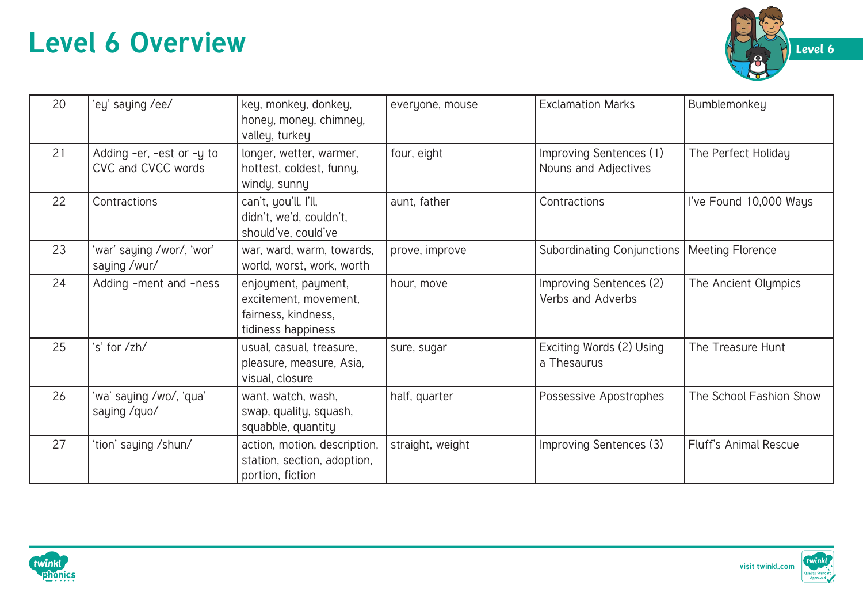

| 20 | 'ey' saying /ee/                                | key, monkey, donkey,<br>honey, money, chimney,<br>valley, turkey                          | everyone, mouse  | <b>Exclamation Marks</b>                        | Bumblemonkey                 |
|----|-------------------------------------------------|-------------------------------------------------------------------------------------------|------------------|-------------------------------------------------|------------------------------|
| 21 | Adding -er, -est or -y to<br>CVC and CVCC words | longer, wetter, warmer,<br>hottest, coldest, funny,<br>windy, sunny                       | four, eight      | Improving Sentences (1)<br>Nouns and Adjectives | The Perfect Holiday          |
| 22 | Contractions                                    | can't, you'll, I'll,<br>didn't, we'd, couldn't,<br>should've, could've                    | aunt, father     | Contractions                                    | I've Found 10,000 Ways       |
| 23 | 'war' saying /wor/, 'wor'<br>saying /wur/       | war, ward, warm, towards,<br>world, worst, work, worth                                    | prove, improve   | <b>Subordinating Conjunctions</b>               | Meeting Florence             |
| 24 | Adding -ment and -ness                          | enjoyment, payment,<br>excitement, movement,<br>fairness, kindness,<br>tidiness happiness | hour, move       | Improving Sentences (2)<br>Verbs and Adverbs    | The Ancient Olympics         |
| 25 | 's' for /zh/                                    | usual, casual, treasure,<br>pleasure, measure, Asia,<br>visual, closure                   | sure, sugar      | Exciting Words (2) Using<br>a Thesaurus         | The Treasure Hunt            |
| 26 | 'wa' saying /wo/, 'qua'<br>saying /quo/         | want, watch, wash,<br>swap, quality, squash,<br>squabble, quantity                        | half, quarter    | Possessive Apostrophes                          | The School Fashion Show      |
| 27 | 'tion' saying /shun/                            | action, motion, description,<br>station, section, adoption,<br>portion, fiction           | straight, weight | Improving Sentences (3)                         | <b>Fluff's Animal Rescue</b> |